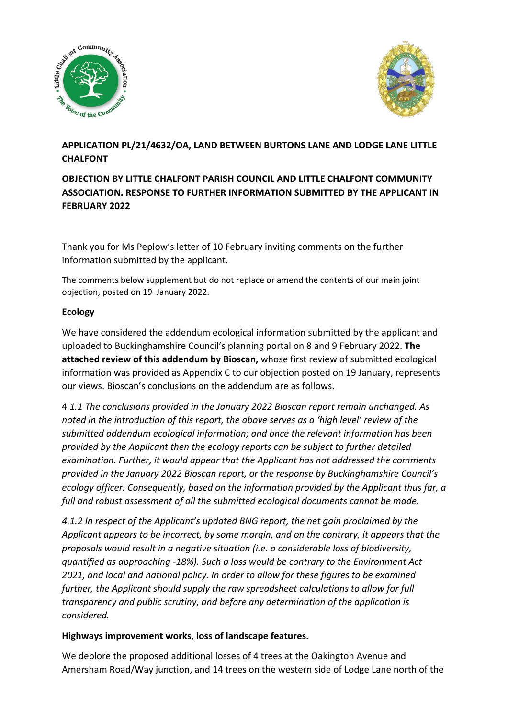



# **APPLICATION PL/21/4632/OA, LAND BETWEEN BURTONS LANE AND LODGE LANE LITTLE CHALFONT**

## **OBJECTION BY LITTLE CHALFONT PARISH COUNCIL AND LITTLE CHALFONT COMMUNITY ASSOCIATION. RESPONSE TO FURTHER INFORMATION SUBMITTED BY THE APPLICANT IN FEBRUARY 2022**

Thank you for Ms Peplow's letter of 10 February inviting comments on the further information submitted by the applicant.

The comments below supplement but do not replace or amend the contents of our main joint objection, posted on 19 January 2022.

## **Ecology**

We have considered the addendum ecological information submitted by the applicant and uploaded to Buckinghamshire Council's planning portal on 8 and 9 February 2022. **The attached review of this addendum by Bioscan,** whose first review of submitted ecological information was provided as Appendix C to our objection posted on 19 January, represents our views. Bioscan's conclusions on the addendum are as follows.

4*.1.1 The conclusions provided in the January 2022 Bioscan report remain unchanged. As noted in the introduction of this report, the above serves as a 'high level' review of the submitted addendum ecological information; and once the relevant information has been provided by the Applicant then the ecology reports can be subject to further detailed examination. Further, it would appear that the Applicant has not addressed the comments provided in the January 2022 Bioscan report, or the response by Buckinghamshire Council's ecology officer. Consequently, based on the information provided by the Applicant thus far, a full and robust assessment of all the submitted ecological documents cannot be made.* 

*4.1.2 In respect of the Applicant's updated BNG report, the net gain proclaimed by the Applicant appears to be incorrect, by some margin, and on the contrary, it appears that the proposals would result in a negative situation (i.e. a considerable loss of biodiversity, quantified as approaching -18%). Such a loss would be contrary to the Environment Act 2021, and local and national policy. In order to allow for these figures to be examined further, the Applicant should supply the raw spreadsheet calculations to allow for full transparency and public scrutiny, and before any determination of the application is considered.*

### **Highways improvement works, loss of landscape features.**

We deplore the proposed additional losses of 4 trees at the Oakington Avenue and Amersham Road/Way junction, and 14 trees on the western side of Lodge Lane north of the